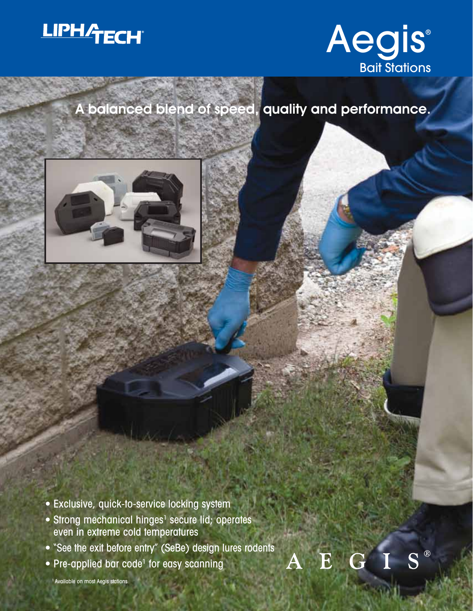



 $S^{\circledR}$ 

E

## A balanced blend of speed, quality and performance.



- Exclusive, quick-to-service locking system
- Strong mechanical hinges<sup>1</sup> secure lid; operates even in extreme cold temperatures
- "See the exit before entry" (SeBe) design lures rodents
- Pre-applied bar code<sup>1</sup> for easy scanning

<sup>1</sup> Available on most Aegis stations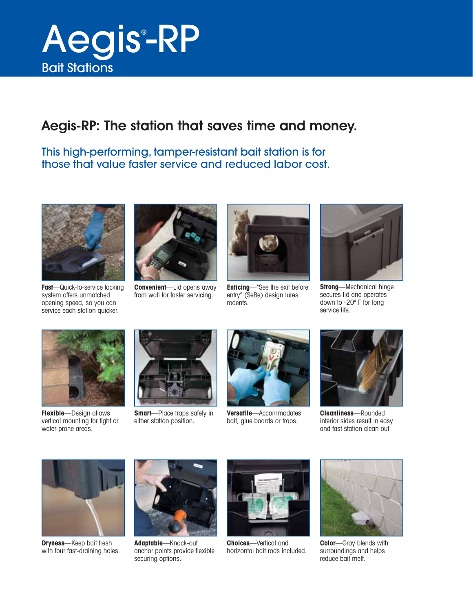

#### Aegis-RP: The station that saves time and money.

#### This high-performing, tamper-resistant bait station is for those that value faster service and reduced labor cost.



**Fast**—Quick-to-service locking system offers unmatched opening speed, so you can service each station quicker.



**Convenient**—Lid opens away from wall for faster servicing.



**Enticing**—"See the exit before entry" (SeBe) design lures rodents.



**Strong**—Mechanical hinge secures lid and operates down to -20º F for long service life.



**Flexible**—Design allows vertical mounting for tight or water-prone areas.



**Smart**—Place traps safely in either station position.



**Versatile**—Accommodates bait, glue boards or traps.

![](_page_1_Picture_17.jpeg)

**Cleanliness**—Rounded interior sides result in easy and fast station clean out.

![](_page_1_Picture_19.jpeg)

**Dryness**—Keep bait fresh with four fast-draining holes.

![](_page_1_Picture_21.jpeg)

**Adaptable**—Knock-out anchor points provide flexible securing options.

![](_page_1_Picture_23.jpeg)

**Choices**—Vertical and horizontal bait rods included.

![](_page_1_Picture_25.jpeg)

**Color**—Gray blends with surroundings and helps reduce bait melt.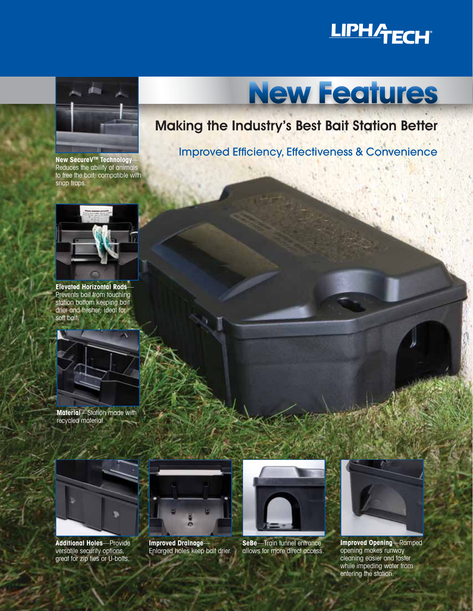## **LIPHATECH®**

![](_page_2_Picture_1.jpeg)

**New SecureV<sup>™</sup> Technology** Reduces the ability of animals to free the bait; compatible with snap traps.

![](_page_2_Picture_3.jpeg)

**Elevated Horizontal Rods**— Prevents bait from touching station bottom keeping bait drier and fresher; ideal for soft bait.

![](_page_2_Picture_5.jpeg)

**Material**—Station made with recycled material.

![](_page_2_Picture_7.jpeg)

**Additional Holes**—Provide versatile security options, great for zip ties or U-bolts.

![](_page_2_Picture_9.jpeg)

**Improved Drainage**— Enlarged holes keep bait drier.

![](_page_2_Picture_11.jpeg)

**SeBe**—Train tunnel entrance allows for more direct access.

![](_page_2_Picture_13.jpeg)

Improved Efficiency, Effectiveness & Convenience

![](_page_2_Picture_15.jpeg)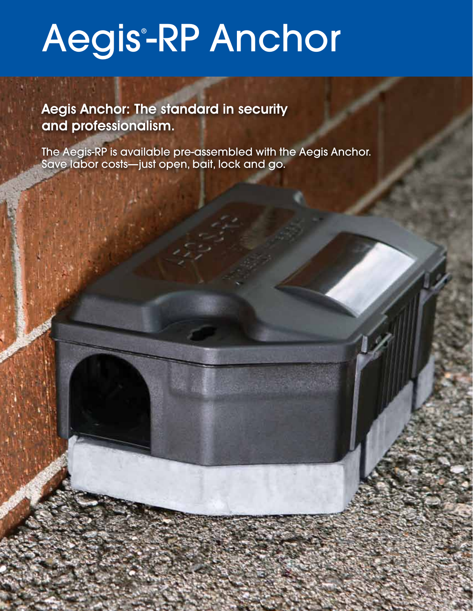# Aegis-RP Anchor

Aegis Anchor: The standard in security and professionalism.

The Aegis-RP is available pre-assembled with the Aegis Anchor. Save labor costs—just open, bait, lock and go.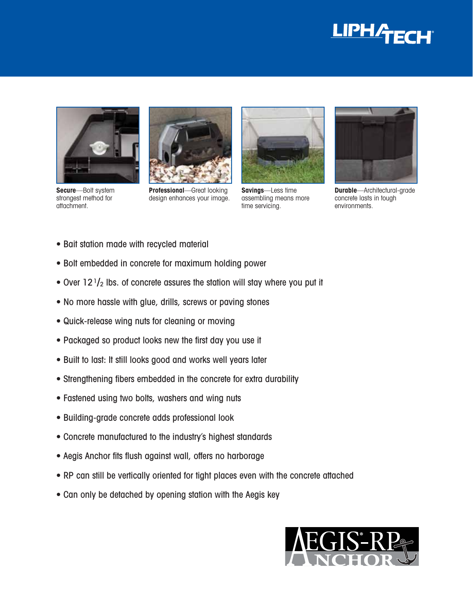![](_page_4_Picture_0.jpeg)

![](_page_4_Picture_1.jpeg)

**Secure**—Bolt system strongest method for attachment.

![](_page_4_Picture_3.jpeg)

**Professional**—Great looking design enhances your image.

![](_page_4_Picture_5.jpeg)

**Savings**—Less time assembling means more time servicing.

![](_page_4_Picture_7.jpeg)

**Durable**—Architectural-grade concrete lasts in tough environments.

- Bait station made with recycled material
- Bolt embedded in concrete for maximum holding power
- Over  $12<sup>1</sup>/<sub>2</sub>$  lbs. of concrete assures the station will stay where you put it
- No more hassle with glue, drills, screws or paving stones
- Quick-release wing nuts for cleaning or moving
- Packaged so product looks new the first day you use it
- Built to last: It still looks good and works well years later
- Strengthening fibers embedded in the concrete for extra durability
- Fastened using two bolts, washers and wing nuts
- Building-grade concrete adds professional look
- Concrete manufactured to the industry's highest standards
- Aegis Anchor fits flush against wall, offers no harborage
- RP can still be vertically oriented for tight places even with the concrete attached
- Can only be detached by opening station with the Aegis key

![](_page_4_Picture_23.jpeg)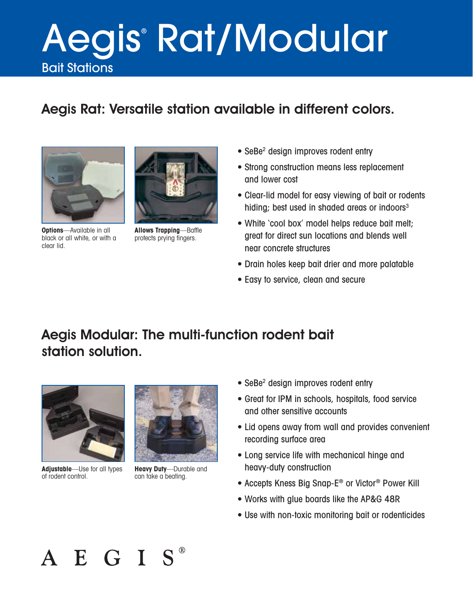# Bait Stations Aegis® Rat/Modular

### Aegis Rat: Versatile station available in different colors.

![](_page_5_Picture_2.jpeg)

**Options**—Available in all black or all white, or with a clear lid.

![](_page_5_Picture_4.jpeg)

**Allows Trapping**—Baffle protects prying fingers.

- SeBe<sup>2</sup> design improves rodent entry
- Strong construction means less replacement and lower cost
- Clear-lid model for easy viewing of bait or rodents hiding; best used in shaded areas or indoors $3$
- White 'cool box' model helps reduce bait melt; great for direct sun locations and blends well near concrete structures
- Drain holes keep bait drier and more palatable
- Easy to service, clean and secure

#### Aegis Modular: The multi-function rodent bait station solution.

![](_page_5_Picture_13.jpeg)

**Adjustable**—Use for all types of rodent control.

![](_page_5_Picture_15.jpeg)

**Heavy Duty**—Durable and can take a beating.

- SeBe<sup>2</sup> design improves rodent entry
- Great for IPM in schools, hospitals, food service and other sensitive accounts
- Lid opens away from wall and provides convenient recording surface area
- Long service life with mechanical hinge and heavy-duty construction
- Accepts Kness Big Snap-E® or Victor® Power Kill
- Works with glue boards like the AP&G 48R
- Use with non-toxic monitoring bait or rodenticides

![](_page_5_Picture_24.jpeg)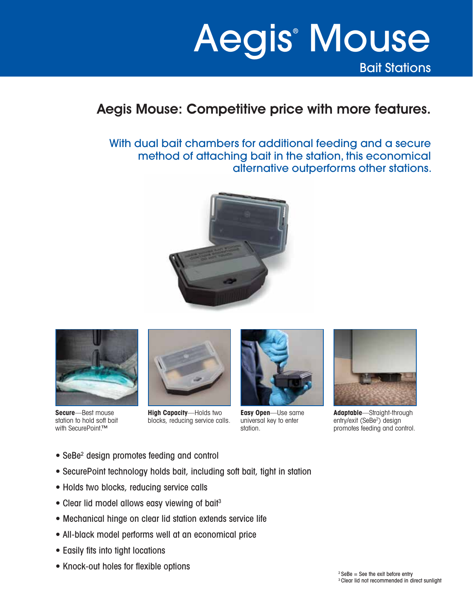## Bait Stations Aegis® Mouse

#### Aegis Mouse: Competitive price with more features.

With dual bait chambers for additional feeding and a secure method of attaching bait in the station, this economical alternative outperforms other stations.

![](_page_6_Picture_3.jpeg)

![](_page_6_Picture_4.jpeg)

**Secure**—Best mouse station to hold soft bait with SecurePoint.™

![](_page_6_Picture_6.jpeg)

**High Capacity**—Holds two blocks, reducing service calls.

![](_page_6_Picture_8.jpeg)

**Easy Open**—Use same universal key to enter station.

![](_page_6_Picture_10.jpeg)

**Adaptable**—Straight-through entry/exit (SeBe<sup>2</sup>) design promotes feeding and control.

- SeBe<sup>2</sup> design promotes feeding and control
- SecurePoint technology holds bait, including soft bait, tight in station
- Holds two blocks, reducing service calls
- Clear lid model allows easy viewing of bait<sup>3</sup>
- Mechanical hinge on clear lid station extends service life
- All-black model performs well at an economical price
- Easily fits into tight locations
- Knock-out holes for flexible options